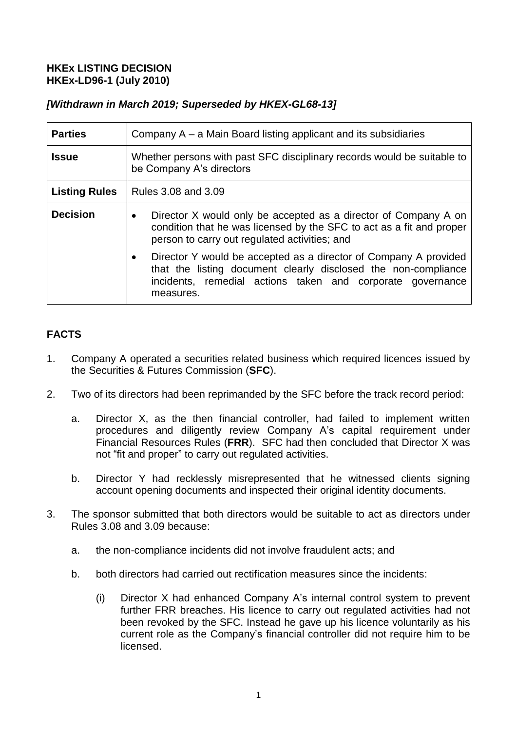## **HKEx LISTING DECISION HKEx-LD96-1 (July 2010)**

## *[Withdrawn in March 2019; Superseded by HKEX-GL68-13]*

| <b>Parties</b>       | Company A – a Main Board listing applicant and its subsidiaries                                                                                                                                                            |
|----------------------|----------------------------------------------------------------------------------------------------------------------------------------------------------------------------------------------------------------------------|
| <b>Issue</b>         | Whether persons with past SFC disciplinary records would be suitable to<br>be Company A's directors                                                                                                                        |
| <b>Listing Rules</b> | Rules 3.08 and 3.09                                                                                                                                                                                                        |
| <b>Decision</b>      | Director X would only be accepted as a director of Company A on<br>$\bullet$<br>condition that he was licensed by the SFC to act as a fit and proper<br>person to carry out regulated activities; and                      |
|                      | Director Y would be accepted as a director of Company A provided<br>$\bullet$<br>that the listing document clearly disclosed the non-compliance<br>incidents, remedial actions taken and corporate governance<br>measures. |

# **FACTS**

- 1. Company A operated a securities related business which required licences issued by the Securities & Futures Commission (**SFC**).
- 2. Two of its directors had been reprimanded by the SFC before the track record period:
	- a. Director X, as the then financial controller, had failed to implement written procedures and diligently review Company A's capital requirement under Financial Resources Rules (**FRR**). SFC had then concluded that Director X was not "fit and proper" to carry out regulated activities.
	- b. Director Y had recklessly misrepresented that he witnessed clients signing account opening documents and inspected their original identity documents.
- 3. The sponsor submitted that both directors would be suitable to act as directors under Rules 3.08 and 3.09 because:
	- a. the non-compliance incidents did not involve fraudulent acts; and
	- b. both directors had carried out rectification measures since the incidents:
		- (i) Director X had enhanced Company A's internal control system to prevent further FRR breaches. His licence to carry out regulated activities had not been revoked by the SFC. Instead he gave up his licence voluntarily as his current role as the Company's financial controller did not require him to be licensed.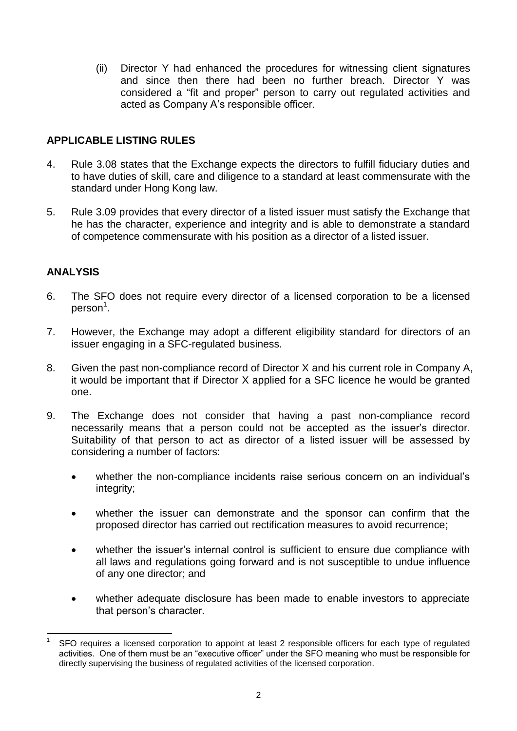(ii) Director Y had enhanced the procedures for witnessing client signatures and since then there had been no further breach. Director Y was considered a "fit and proper" person to carry out regulated activities and acted as Company A's responsible officer.

## **APPLICABLE LISTING RULES**

- 4. Rule 3.08 states that the Exchange expects the directors to fulfill fiduciary duties and to have duties of skill, care and diligence to a standard at least commensurate with the standard under Hong Kong law.
- 5. Rule 3.09 provides that every director of a listed issuer must satisfy the Exchange that he has the character, experience and integrity and is able to demonstrate a standard of competence commensurate with his position as a director of a listed issuer.

#### **ANALYSIS**

- 6. The SFO does not require every director of a licensed corporation to be a licensed person $^{\rm 1}.$
- 7. However, the Exchange may adopt a different eligibility standard for directors of an issuer engaging in a SFC-regulated business.
- 8. Given the past non-compliance record of Director X and his current role in Company A, it would be important that if Director X applied for a SFC licence he would be granted one.
- 9. The Exchange does not consider that having a past non-compliance record necessarily means that a person could not be accepted as the issuer's director. Suitability of that person to act as director of a listed issuer will be assessed by considering a number of factors:
	- whether the non-compliance incidents raise serious concern on an individual's integrity;
	- whether the issuer can demonstrate and the sponsor can confirm that the proposed director has carried out rectification measures to avoid recurrence;
	- whether the issuer's internal control is sufficient to ensure due compliance with all laws and regulations going forward and is not susceptible to undue influence of any one director; and
	- whether adequate disclosure has been made to enable investors to appreciate that person's character.

 $\overline{a}$ 1 SFO requires a licensed corporation to appoint at least 2 responsible officers for each type of regulated activities. One of them must be an "executive officer" under the SFO meaning who must be responsible for directly supervising the business of regulated activities of the licensed corporation.